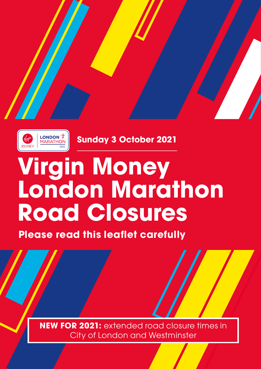



**Sunday 3 October 2021**

# **Virgin Money London Marathon Road Closures**

**Please read this leaflet carefully**

**NEW FOR 2021:** extended road closure times in City of London and Westminster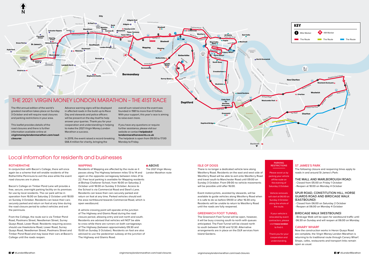#### Greenwich Greenwich Foot **Deptford** Greenwich High Road Croom's Hill Creek Roa<sup>d</sup> The Avenue Ma<sub>rta Hill</sub> Blackheath Hill Prince of Wales Road Charlton Way Trafalgar Road Red Start Line **Blue** Start Line Cutty Sark 6 7 **Deptford Bridge Cutty Sark 8 Cutty Sark and Road Cutty Sark and Road Cutty Sark and Road Cutty Sark and Road Cutty Sark and Road Cutty Sark and Road Cutty Sark and Road Cutty Sark and Road Cutty Sark and Road Cutty Sark and Road Cutty Sa for Maritime Greenwich Greenwich** 10 Blackheath =



# **RESTRICTIONS**



The 41st annual edition of the world's greatest marathon takes place on Sunday 3 October and will require road closures and parking restrictions in your area.

This leaflet provides details of the road closures and there is further information available online at **virginmoneylondonmarathon.com/roadclosure[s](http://virginmoneylondonmarathon.co.uk/
road-closures)**

Advance warning signs will be displayed in affected roads in the build-up to Race Day and stewards and police officers will be present on the day itself to help answer your queries. Thank you for your cooperation and understanding in helping to make the 2021 Virgin Money London Marathon a success.

In 2019, the event raised a record-breaking £66.4 million for charity, bringing the

overall sum raised since the event was founded in 1981 to more than £1 billion. With your support, this year's race is aiming to raise even more.

If you have any questions or require further assistance, please visit our website or contact **[helpdesk@](mailto:helpdesk%40londonmarathonevents.co.uk?subject=) [londonmarathonevents.co.uk](mailto:helpdesk%40londonmarathonevents.co.uk?subject=)** The helpdesk is open from 09:00 to 17:00 Monday to Friday.

# THE 2021 VIRGIN MONEY LONDON MARATHON – THE 41ST RACE

# Local information for residents and businesses

## ISLE OF DOGS

There is no longer a dedicated vehicle lane along Westferry Road. Residents on the east and west side of Westferry Road will be able to exit onto Westferry Road and travel south to Manchester Road until 09:00 on Sunday 3 October. From 09:00 no vehicle movements will be possible until after 16:00.

Event motorcyclists, assisted by stewards, will be available to guide vehicles along Westferry Road when it is safe to do so before 09:00 or after 16:30 only. Residents will be unable to return to Westferry Road until the roads are fully reopened.

## GREENWICH FOOT TUNNEL

The Greenwich Foot Tunnel will be open, however, it will be busy crossing south to north with queues anticipated. The Foot Tunnel will be closed north to south between 10:30 and 12:30. Alternative arrangements are in place on the DLR services from Island Gardens.

# ST JAMES'S PARK

The following closure and reopening times apply to roads in and around St James's Park:

# THE MALL AND MARLBOROUGH ROAD:

- Closed from 05:00 on Friday 1 October - Reopen at 18:00 on Monday 4 October

# SPUR ROAD, CONSTITUTION HILL, HORSE GUARDS ROAD AND BIRDCAGE WALK (EASTBOUND):

- Closed from 06:00 on Saturday 2 October - Reopen at 06:00 on Monday 4 October

BIRDCAGE WALK (WESTBOUND) - Birdcage Walk will be open for westbound traffic until 06:30 on Sunday and will reopen at 06:00 on Monday.

# CANARY WHARF



Now the construction works in Heron Quays Road are complete, the Virgin Money London Marathon is returning to its traditional route through Canary Wharf. Shops, cafes, restaurants and transport links remain open as usual.

# ROTHERHITHE

In conjunction with Bacon's College, there will once again be a scheme that will enable residents of the Rotherhithe Peninsula to exit the area while the event road closures are in place.

Bacon's College on Timber Pond Lane will provide a free, secure, overnight parking facility on its premises for use by local residents. The car park will be in operation from 16:00 on Saturday 2 October until 18:00 on Sunday 3 October. Residents can leave their cars securely parked and return on foot at any time during the road closure period to collect vehicles and exit the peninsula.

From the College, the route out is via Timber Pond Road, Poolmans Street, Needleman Street, Surrey Quays Road, Lower Road. Residents requiring access should use Hawkstone Road, Lower Road, Surrey Quays Road, Needleman Street, Poolmans Street and Timber Pond Road and may leave their cars at Bacon's College until the roads reopen.

## **WAPPING**

Residents of Wapping are affected by the route as it passes along The Highway between miles 13 to 14 and again on the opposite carriageway between miles 21 to 22. Free local parking is available for Wapping residents at Bishop Challoner School, from 16:00 on Saturday 2 October until 18:00 on Sunday 3 October. Access to the School is via Commercial Road and Steel's Lane. Residents can leave their cars securely parked and return on foot at any time. Parked vehicles should exit the area northbound towards Commercial Road, which is open westbound.

A vehicle crossing point will operate at the junction of The Highway and Glamis Road during the road closure period, allowing entry and exit north and south. Residents are advised that vehicles will NOT be able to cross while there are runners on both carriageways of The Highway (between approximately 09:30 and 15:00 on Sunday 3 October). Residents on foot are also advised to use the pedestrian subway at the junction of The Highway and Glamis Road.

## **ABOVE**

# PARKING

Please assist us by parking your vehicle off the route on the evening of Saturday 2 October.

Vehicle removals

will start at 06:00 on Sunday 3 October along the whole of the route.

If your vehicle is relocated by event contractors, please visit **trace.london** to find it.

Thank you for your cooperation and understanding.

The 2021 Virgin Money London Marathon route